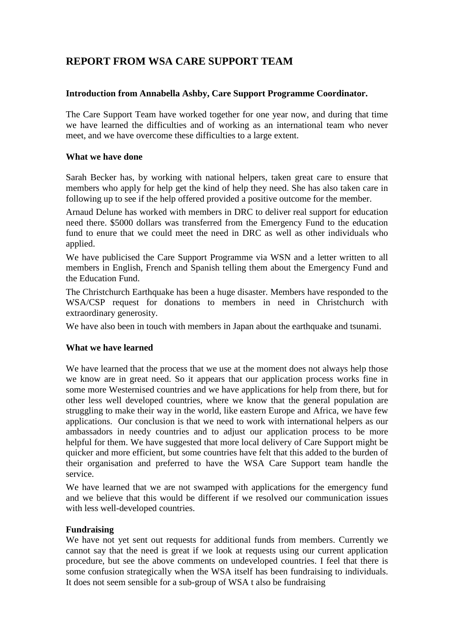# **REPORT FROM WSA CARE SUPPORT TEAM**

### **Introduction from Annabella Ashby, Care Support Programme Coordinator.**

The Care Support Team have worked together for one year now, and during that time we have learned the difficulties and of working as an international team who never meet, and we have overcome these difficulties to a large extent.

### **What we have done**

Sarah Becker has, by working with national helpers, taken great care to ensure that members who apply for help get the kind of help they need. She has also taken care in following up to see if the help offered provided a positive outcome for the member.

Arnaud Delune has worked with members in DRC to deliver real support for education need there. \$5000 dollars was transferred from the Emergency Fund to the education fund to enure that we could meet the need in DRC as well as other individuals who applied.

We have publicised the Care Support Programme via WSN and a letter written to all members in English, French and Spanish telling them about the Emergency Fund and the Education Fund.

The Christchurch Earthquake has been a huge disaster. Members have responded to the WSA/CSP request for donations to members in need in Christchurch with extraordinary generosity.

We have also been in touch with members in Japan about the earthquake and tsunami.

### **What we have learned**

We have learned that the process that we use at the moment does not always help those we know are in great need. So it appears that our application process works fine in some more Westernised countries and we have applications for help from there, but for other less well developed countries, where we know that the general population are struggling to make their way in the world, like eastern Europe and Africa, we have few applications. Our conclusion is that we need to work with international helpers as our ambassadors in needy countries and to adjust our application process to be more helpful for them. We have suggested that more local delivery of Care Support might be quicker and more efficient, but some countries have felt that this added to the burden of their organisation and preferred to have the WSA Care Support team handle the service.

We have learned that we are not swamped with applications for the emergency fund and we believe that this would be different if we resolved our communication issues with less well-developed countries.

### **Fundraising**

We have not yet sent out requests for additional funds from members. Currently we cannot say that the need is great if we look at requests using our current application procedure, but see the above comments on undeveloped countries. I feel that there is some confusion strategically when the WSA itself has been fundraising to individuals. It does not seem sensible for a sub-group of WSA t also be fundraising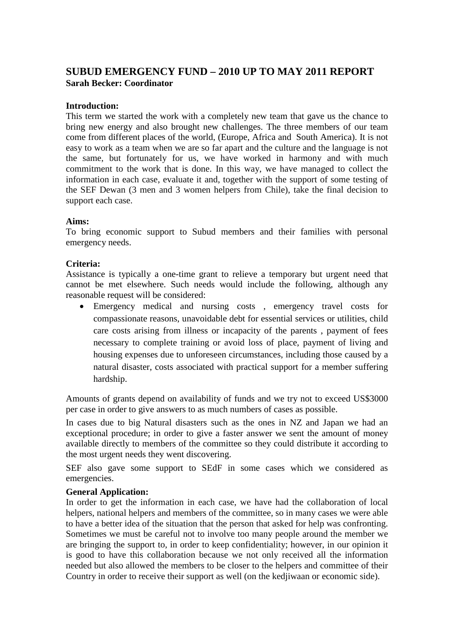## **SUBUD EMERGENCY FUND – 2010 UP TO MAY 2011 REPORT Sarah Becker: Coordinator**

### **Introduction:**

This term we started the work with a completely new team that gave us the chance to bring new energy and also brought new challenges. The three members of our team come from different places of the world, (Europe, Africa and South America). It is not easy to work as a team when we are so far apart and the culture and the language is not the same, but fortunately for us, we have worked in harmony and with much commitment to the work that is done. In this way, we have managed to collect the information in each case, evaluate it and, together with the support of some testing of the SEF Dewan (3 men and 3 women helpers from Chile), take the final decision to support each case.

### **Aims:**

To bring economic support to Subud members and their families with personal emergency needs.

### **Criteria:**

Assistance is typically a one-time grant to relieve a temporary but urgent need that cannot be met elsewhere. Such needs would include the following, although any reasonable request will be considered:

Emergency medical and nursing costs, emergency travel costs for compassionate reasons, unavoidable debt for essential services or utilities, child care costs arising from illness or incapacity of the parents , payment of fees necessary to complete training or avoid loss of place, payment of living and housing expenses due to unforeseen circumstances, including those caused by a natural disaster, costs associated with practical support for a member suffering hardship.

Amounts of grants depend on availability of funds and we try not to exceed US\$3000 per case in order to give answers to as much numbers of cases as possible.

In cases due to big Natural disasters such as the ones in NZ and Japan we had an exceptional procedure; in order to give a faster answer we sent the amount of money available directly to members of the committee so they could distribute it according to the most urgent needs they went discovering.

SEF also gave some support to SEdF in some cases which we considered as emergencies.

### **General Application:**

In order to get the information in each case, we have had the collaboration of local helpers, national helpers and members of the committee, so in many cases we were able to have a better idea of the situation that the person that asked for help was confronting. Sometimes we must be careful not to involve too many people around the member we are bringing the support to, in order to keep confidentiality; however, in our opinion it is good to have this collaboration because we not only received all the information needed but also allowed the members to be closer to the helpers and committee of their Country in order to receive their support as well (on the kedjiwaan or economic side).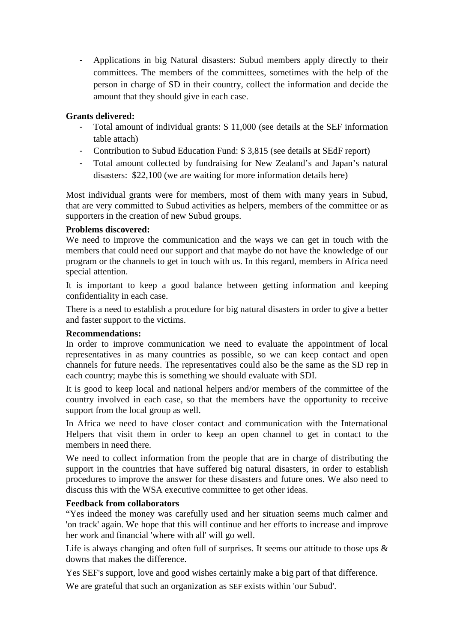- Applications in big Natural disasters: Subud members apply directly to their committees. The members of the committees, sometimes with the help of the person in charge of SD in their country, collect the information and decide the amount that they should give in each case.

### **Grants delivered:**

- Total amount of individual grants: \$11,000 (see details at the SEF information table attach)
- Contribution to Subud Education Fund: \$ 3,815 (see details at SEdF report)
- Total amount collected by fundraising for New Zealand's and Japan's natural disasters: \$22,100 (we are waiting for more information details here)

Most individual grants were for members, most of them with many years in Subud, that are very committed to Subud activities as helpers, members of the committee or as supporters in the creation of new Subud groups.

### **Problems discovered:**

We need to improve the communication and the ways we can get in touch with the members that could need our support and that maybe do not have the knowledge of our program or the channels to get in touch with us. In this regard, members in Africa need special attention.

It is important to keep a good balance between getting information and keeping confidentiality in each case.

There is a need to establish a procedure for big natural disasters in order to give a better and faster support to the victims.

### **Recommendations:**

In order to improve communication we need to evaluate the appointment of local representatives in as many countries as possible, so we can keep contact and open channels for future needs. The representatives could also be the same as the SD rep in each country; maybe this is something we should evaluate with SDI.

It is good to keep local and national helpers and/or members of the committee of the country involved in each case, so that the members have the opportunity to receive support from the local group as well.

In Africa we need to have closer contact and communication with the International Helpers that visit them in order to keep an open channel to get in contact to the members in need there.

We need to collect information from the people that are in charge of distributing the support in the countries that have suffered big natural disasters, in order to establish procedures to improve the answer for these disasters and future ones. We also need to discuss this with the WSA executive committee to get other ideas.

### **Feedback from collaborators**

"Yes indeed the money was carefully used and her situation seems much calmer and 'on track' again. We hope that this will continue and her efforts to increase and improve her work and financial 'where with all' will go well.

Life is always changing and often full of surprises. It seems our attitude to those ups & downs that makes the difference.

Yes SEF's support, love and good wishes certainly make a big part of that difference.

We are grateful that such an organization as SEF exists within 'our Subud'.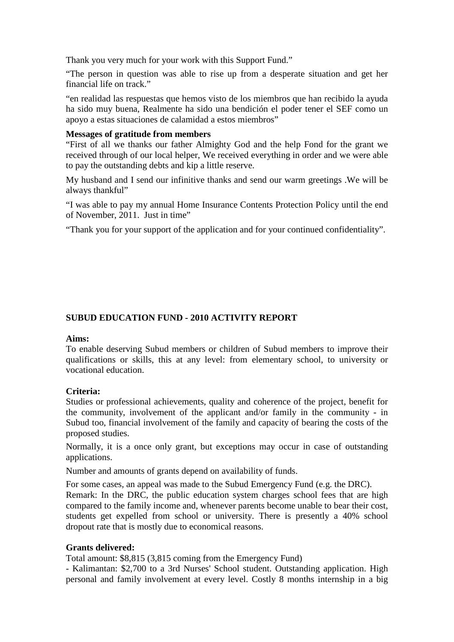Thank you very much for your work with this Support Fund."

"The person in question was able to rise up from a desperate situation and get her financial life on track."

"en realidad las respuestas que hemos visto de los miembros que han recibido la ayuda ha sido muy buena, Realmente ha sido una bendición el poder tener el SEF como un apoyo a estas situaciones de calamidad a estos miembros"

#### **Messages of gratitude from members**

"First of all we thanks our father Almighty God and the help Fond for the grant we received through of our local helper, We received everything in order and we were able to pay the outstanding debts and kip a little reserve.

My husband and I send our infinitive thanks and send our warm greetings .We will be always thankful"

"I was able to pay my annual Home Insurance Contents Protection Policy until the end of November, 2011. Just in time"

"Thank you for your support of the application and for your continued confidentiality".

### **SUBUD EDUCATION FUND - 2010 ACTIVITY REPORT**

#### **Aims:**

To enable deserving Subud members or children of Subud members to improve their qualifications or skills, this at any level: from elementary school, to university or vocational education.

### **Criteria:**

Studies or professional achievements, quality and coherence of the project, benefit for the community, involvement of the applicant and/or family in the community - in Subud too, financial involvement of the family and capacity of bearing the costs of the proposed studies.

Normally, it is a once only grant, but exceptions may occur in case of outstanding applications.

Number and amounts of grants depend on availability of funds.

For some cases, an appeal was made to the Subud Emergency Fund (e.g. the DRC).

Remark: In the DRC, the public education system charges school fees that are high compared to the family income and, whenever parents become unable to bear their cost, students get expelled from school or university. There is presently a 40% school dropout rate that is mostly due to economical reasons.

### **Grants delivered:**

Total amount: \$8,815 (3,815 coming from the Emergency Fund)

- Kalimantan: \$2,700 to a 3rd Nurses' School student. Outstanding application. High personal and family involvement at every level. Costly 8 months internship in a big